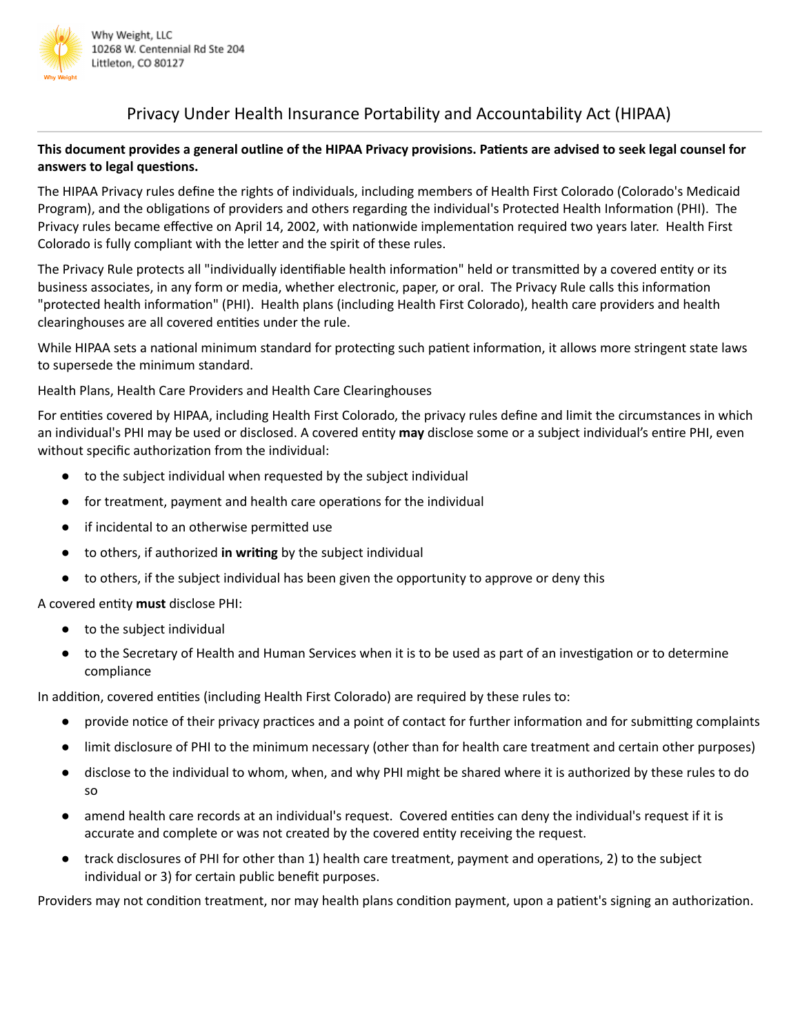

# Privacy Under Health Insurance Portability and Accountability Act (HIPAA)

## This document provides a general outline of the HIPAA Privacy provisions. Patients are advised to seek legal counsel for **answers** to legal questions.

The HIPAA Privacy rules define the rights of individuals, including members of Health First Colorado (Colorado's Medicaid Program), and the obligations of providers and others regarding the individual's Protected Health Information (PHI). The Privacy rules became effective on April 14, 2002, with nationwide implementation required two years later. Health First Colorado is fully compliant with the letter and the spirit of these rules.

The Privacy Rule protects all "individually identifiable health information" held or transmitted by a covered entity or its business associates, in any form or media, whether electronic, paper, or oral. The Privacy Rule calls this information "protected health information" (PHI). Health plans (including Health First Colorado), health care providers and health clearinghouses are all covered entities under the rule.

While HIPAA sets a national minimum standard for protecting such patient information, it allows more stringent state laws to supersede the minimum standard.

Health Plans, Health Care Providers and Health Care Clearinghouses

For entities covered by HIPAA, including Health First Colorado, the privacy rules define and limit the circumstances in which an individual's PHI may be used or disclosed. A covered entity **may** disclose some or a subject individual's entire PHI, even without specific authorization from the individual:

- to the subject individual when requested by the subject individual
- for treatment, payment and health care operations for the individual
- $\bullet$  if incidental to an otherwise permitted use
- to others, if authorized **in wring** by the subject individual
- to others, if the subject individual has been given the opportunity to approve or deny this

A covered entity must disclose PHI:

- to the subject individual
- to the Secretary of Health and Human Services when it is to be used as part of an investigation or to determine compliance

In addition, covered entities (including Health First Colorado) are required by these rules to:

- provide notice of their privacy practices and a point of contact for further information and for submitting complaints
- limit disclosure of PHI to the minimum necessary (other than for health care treatment and certain other purposes)
- disclose to the individual to whom, when, and why PHI might be shared where it is authorized by these rules to do so
- amend health care records at an individual's request. Covered entities can deny the individual's request if it is accurate and complete or was not created by the covered entity receiving the request.
- track disclosures of PHI for other than 1) health care treatment, payment and operations, 2) to the subject individual or 3) for certain public benefit purposes.

Providers may not condition treatment, nor may health plans condition payment, upon a patient's signing an authorization.